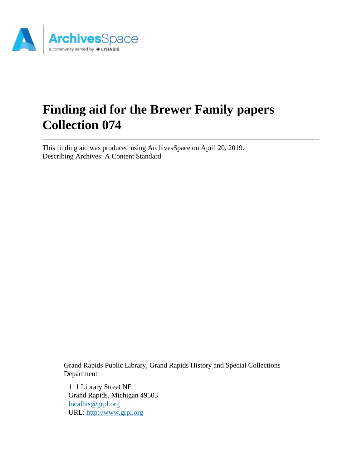

# **Finding aid for the Brewer Family papers Collection 074**

This finding aid was produced using ArchivesSpace on April 20, 2019. Describing Archives: A Content Standard

> Grand Rapids Public Library, Grand Rapids History and Special Collections Department

111 Library Street NE Grand Rapids, Michigan 49503 [localhis@grpl.org](mailto:localhis@grpl.org) URL:<http://www.grpl.org>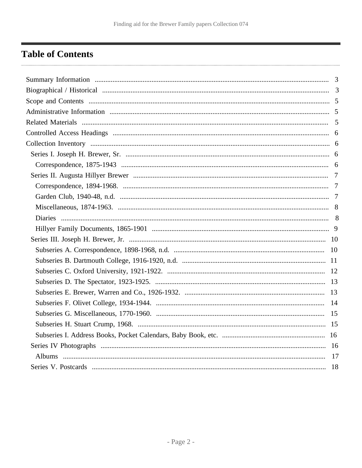## <span id="page-1-0"></span>**Table of Contents**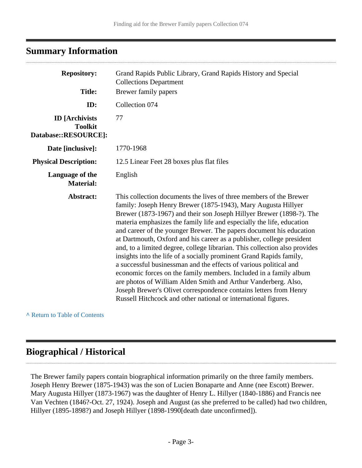## <span id="page-2-0"></span>**Summary Information**

| <b>Repository:</b><br><b>Title:</b>                             | Grand Rapids Public Library, Grand Rapids History and Special<br><b>Collections Department</b><br>Brewer family papers                                                                                                                                                                                                                                                                                                                                                                                                                                                                                                                                                                                                                                                                                                                                                                                                                       |
|-----------------------------------------------------------------|----------------------------------------------------------------------------------------------------------------------------------------------------------------------------------------------------------------------------------------------------------------------------------------------------------------------------------------------------------------------------------------------------------------------------------------------------------------------------------------------------------------------------------------------------------------------------------------------------------------------------------------------------------------------------------------------------------------------------------------------------------------------------------------------------------------------------------------------------------------------------------------------------------------------------------------------|
|                                                                 |                                                                                                                                                                                                                                                                                                                                                                                                                                                                                                                                                                                                                                                                                                                                                                                                                                                                                                                                              |
| ID:                                                             | Collection 074                                                                                                                                                                                                                                                                                                                                                                                                                                                                                                                                                                                                                                                                                                                                                                                                                                                                                                                               |
| <b>ID</b> [Archivists<br><b>Toolkit</b><br>Database::RESOURCE]: | 77                                                                                                                                                                                                                                                                                                                                                                                                                                                                                                                                                                                                                                                                                                                                                                                                                                                                                                                                           |
| Date [inclusive]:                                               | 1770-1968                                                                                                                                                                                                                                                                                                                                                                                                                                                                                                                                                                                                                                                                                                                                                                                                                                                                                                                                    |
| <b>Physical Description:</b>                                    | 12.5 Linear Feet 28 boxes plus flat files                                                                                                                                                                                                                                                                                                                                                                                                                                                                                                                                                                                                                                                                                                                                                                                                                                                                                                    |
| Language of the<br><b>Material:</b>                             | English                                                                                                                                                                                                                                                                                                                                                                                                                                                                                                                                                                                                                                                                                                                                                                                                                                                                                                                                      |
| Abstract:                                                       | This collection documents the lives of three members of the Brewer<br>family: Joseph Henry Brewer (1875-1943), Mary Augusta Hillyer<br>Brewer (1873-1967) and their son Joseph Hillyer Brewer (1898-?). The<br>materia emphasizes the family life and especially the life, education<br>and career of the younger Brewer. The papers document his education<br>at Dartmouth, Oxford and his career as a publisher, college president<br>and, to a limited degree, college librarian. This collection also provides<br>insights into the life of a socially prominent Grand Rapids family,<br>a successful businessman and the effects of various political and<br>economic forces on the family members. Included in a family album<br>are photos of William Alden Smith and Arthur Vanderberg. Also,<br>Joseph Brewer's Olivet correspondence contains letters from Henry<br>Russell Hitchcock and other national or international figures. |

**^** [Return to Table of Contents](#page-1-0)

## <span id="page-2-1"></span>**Biographical / Historical**

The Brewer family papers contain biographical information primarily on the three family members. Joseph Henry Brewer (1875-1943) was the son of Lucien Bonaparte and Anne (nee Escott) Brewer. Mary Augusta Hillyer (1873-1967) was the daughter of Henry L. Hillyer (1840-1886) and Francis nee Van Vechten (1846?-Oct. 27, 1924). Joseph and August (as she preferred to be called) had two children, Hillyer (1895-1898?) and Joseph Hillyer (1898-1990[death date unconfirmed]).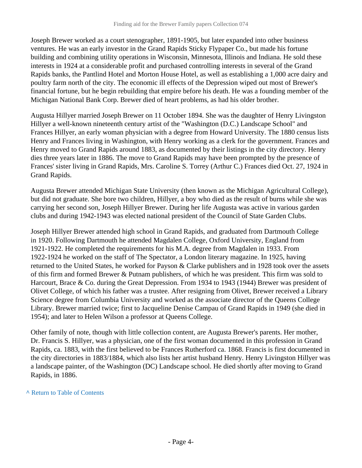Joseph Brewer worked as a court stenographer, 1891-1905, but later expanded into other business ventures. He was an early investor in the Grand Rapids Sticky Flypaper Co., but made his fortune building and combining utility operations in Wisconsin, Minnesota, Illinois and Indiana. He sold these interests in 1924 at a considerable profit and purchased controlling interests in several of the Grand Rapids banks, the Pantlind Hotel and Morton House Hotel, as well as establishing a 1,000 acre dairy and poultry farm north of the city. The economic ill effects of the Depression wiped out most of Brewer's financial fortune, but he begin rebuilding that empire before his death. He was a founding member of the Michigan National Bank Corp. Brewer died of heart problems, as had his older brother.

Augusta Hillyer married Joseph Brewer on 11 October 1894. She was the daughter of Henry Livingston Hillyer a well-known nineteenth century artist of the "Washington (D.C.) Landscape School" and Frances Hillyer, an early woman physician with a degree from Howard University. The 1880 census lists Henry and Frances living in Washington, with Henry working as a clerk for the government. Frances and Henry moved to Grand Rapids around 1883, as documented by their listings in the city directory. Henry dies three years later in 1886. The move to Grand Rapids may have been prompted by the presence of Frances' sister living in Grand Rapids, Mrs. Caroline S. Torrey (Arthur C.) Frances died Oct. 27, 1924 in Grand Rapids.

Augusta Brewer attended Michigan State University (then known as the Michigan Agricultural College), but did not graduate. She bore two children, Hillyer, a boy who died as the result of burns while she was carrying her second son, Joseph Hillyer Brewer. During her life Augusta was active in various garden clubs and during 1942-1943 was elected national president of the Council of State Garden Clubs.

Joseph Hillyer Brewer attended high school in Grand Rapids, and graduated from Dartmouth College in 1920. Following Dartmouth he attended Magdalen College, Oxford University, England from 1921-1922. He completed the requirements for his M.A. degree from Magdalen in 1933. From 1922-1924 he worked on the staff of The Spectator, a London literary magazine. In 1925, having returned to the United States, he worked for Payson & Clarke publishers and in 1928 took over the assets of this firm and formed Brewer & Putnam publishers, of which he was president. This firm was sold to Harcourt, Brace & Co. during the Great Depression. From 1934 to 1943 (1944) Brewer was president of Olivet College, of which his father was a trustee. After resigning from Olivet, Brewer received a Library Science degree from Columbia University and worked as the associate director of the Queens College Library. Brewer married twice; first to Jacqueline Denise Campau of Grand Rapids in 1949 (she died in 1954); and later to Helen Wilson a professor at Queens College.

Other family of note, though with little collection content, are Augusta Brewer's parents. Her mother, Dr. Francis S. Hillyer, was a physician, one of the first woman documented in this profession in Grand Rapids, ca. 1883, with the first believed to be Frances Rutherford ca. 1868. Francis is first documented in the city directories in 1883/1884, which also lists her artist husband Henry. Henry Livingston Hillyer was a landscape painter, of the Washington (DC) Landscape school. He died shortly after moving to Grand Rapids, in 1886.

#### **^** [Return to Table of Contents](#page-1-0)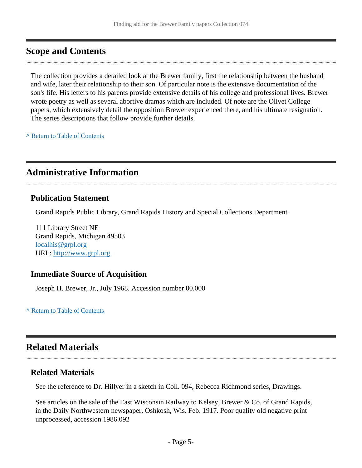## <span id="page-4-0"></span>**Scope and Contents**

The collection provides a detailed look at the Brewer family, first the relationship between the husband and wife, later their relationship to their son. Of particular note is the extensive documentation of the son's life. His letters to his parents provide extensive details of his college and professional lives. Brewer wrote poetry as well as several abortive dramas which are included. Of note are the Olivet College papers, which extensively detail the opposition Brewer experienced there, and his ultimate resignation. The series descriptions that follow provide further details.

**^** [Return to Table of Contents](#page-1-0)

## <span id="page-4-1"></span>**Administrative Information**

#### **Publication Statement**

Grand Rapids Public Library, Grand Rapids History and Special Collections Department

111 Library Street NE Grand Rapids, Michigan 49503 [localhis@grpl.org](mailto:localhis@grpl.org) URL:<http://www.grpl.org>

### **Immediate Source of Acquisition**

Joseph H. Brewer, Jr., July 1968. Accession number 00.000

#### **^** [Return to Table of Contents](#page-1-0)

## <span id="page-4-2"></span>**Related Materials**

#### **Related Materials**

See the reference to Dr. Hillyer in a sketch in Coll. 094, Rebecca Richmond series, Drawings.

See articles on the sale of the East Wisconsin Railway to Kelsey, Brewer & Co. of Grand Rapids, in the Daily Northwestern newspaper, Oshkosh, Wis. Feb. 1917. Poor quality old negative print unprocessed, accession 1986.092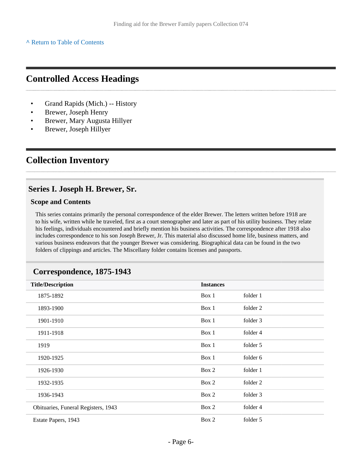**^** [Return to Table of Contents](#page-1-0)

## <span id="page-5-0"></span>**Controlled Access Headings**

- Grand Rapids (Mich.) -- History
- Brewer, Joseph Henry
- Brewer, Mary Augusta Hillyer
- Brewer, Joseph Hillyer

## <span id="page-5-1"></span>**Collection Inventory**

## <span id="page-5-2"></span>**Series I. Joseph H. Brewer, Sr.**

#### **Scope and Contents**

This series contains primarily the personal correspondence of the elder Brewer. The letters written before 1918 are to his wife, written while he traveled, first as a court stenographer and later as part of his utility business. They relate his feelings, individuals encountered and briefly mention his business activities. The correspondence after 1918 also includes correspondence to his son Joseph Brewer, Jr. This material also discussed home life, business matters, and various business endeavors that the younger Brewer was considering. Biographical data can be found in the two folders of clippings and articles. The Miscellany folder contains licenses and passports.

<span id="page-5-3"></span>

| Correspondence, 1875-1943 |  |
|---------------------------|--|
|---------------------------|--|

| <b>Title/Description</b>            | <b>Instances</b> |          |  |
|-------------------------------------|------------------|----------|--|
| 1875-1892                           | Box 1            | folder 1 |  |
| 1893-1900                           | Box 1            | folder 2 |  |
| 1901-1910                           | Box 1            | folder 3 |  |
| 1911-1918                           | Box 1            | folder 4 |  |
| 1919                                | Box 1            | folder 5 |  |
| 1920-1925                           | Box 1            | folder 6 |  |
| 1926-1930                           | Box 2            | folder 1 |  |
| 1932-1935                           | Box 2            | folder 2 |  |
| 1936-1943                           | Box 2            | folder 3 |  |
| Obituaries, Funeral Registers, 1943 | Box 2            | folder 4 |  |
| Estate Papers, 1943                 | Box 2            | folder 5 |  |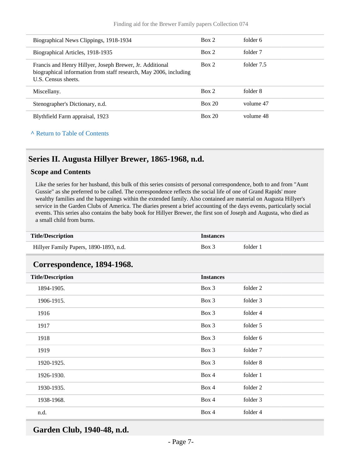| Biographical News Clippings, 1918-1934                                                                                                               | Box 2  | folder 6   |
|------------------------------------------------------------------------------------------------------------------------------------------------------|--------|------------|
| Biographical Articles, 1918-1935                                                                                                                     | Box 2  | folder 7   |
| Francis and Henry Hillyer, Joseph Brewer, Jr. Additional<br>biographical information from staff research, May 2006, including<br>U.S. Census sheets. | Box 2  | folder 7.5 |
| Miscellany.                                                                                                                                          | Box 2  | folder 8   |
| Stenographer's Dictionary, n.d.                                                                                                                      | Box 20 | volume 47  |
| Blythfield Farm appraisal, 1923                                                                                                                      | Box 20 | volume 48  |

**^** [Return to Table of Contents](#page-1-0)

## <span id="page-6-0"></span>**Series II. Augusta Hillyer Brewer, 1865-1968, n.d.**

#### **Scope and Contents**

Like the series for her husband, this bulk of this series consists of personal correspondence, both to and from "Aunt Gussie" as she preferred to be called. The correspondence reflects the social life of one of Grand Rapids' more wealthy families and the happenings within the extended family. Also contained are material on Augusta Hillyer's service in the Garden Clubs of America. The diaries present a brief accounting of the days events, particularly social events. This series also contains the baby book for Hillyer Brewer, the first son of Joseph and Augusta, who died as a small child from burns.

<span id="page-6-1"></span>

| <b>Title/Description</b><br><b>Instances</b> |                  |          |
|----------------------------------------------|------------------|----------|
| Hillyer Family Papers, 1890-1893, n.d.       | Box 3            | folder 1 |
| Correspondence, 1894-1968.                   |                  |          |
| <b>Title/Description</b>                     | <b>Instances</b> |          |
| 1894-1905.                                   | Box 3            | folder 2 |
| 1906-1915.                                   | Box 3            | folder 3 |
| 1916                                         | Box 3            | folder 4 |
| 1917                                         | Box 3            | folder 5 |
| 1918                                         | Box 3            | folder 6 |
| 1919                                         | Box 3            | folder 7 |
| 1920-1925.                                   | Box 3            | folder 8 |
| 1926-1930.                                   | Box 4            | folder 1 |
| 1930-1935.                                   | Box 4            | folder 2 |
| 1938-1968.                                   | Box 4            | folder 3 |
| n.d.                                         | Box 4            | folder 4 |

<span id="page-6-2"></span>**Garden Club, 1940-48, n.d.**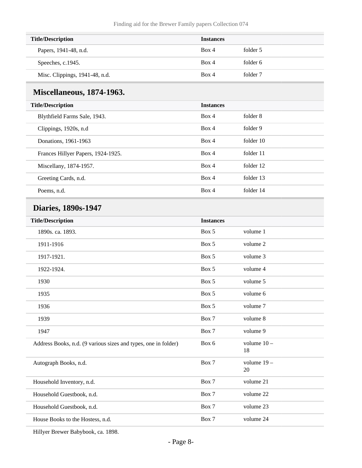| <b>Title/Description</b>       | <b>Instances</b> |          |
|--------------------------------|------------------|----------|
| Papers, 1941-48, n.d.          | Box 4            | folder 5 |
| Speeches, c.1945.              | Box 4            | folder 6 |
| Misc. Clippings, 1941-48, n.d. | Box 4            | folder 7 |

## <span id="page-7-0"></span>**Miscellaneous, 1874-1963.**

| <b>Title/Description</b>           | <b>Instances</b> |           |
|------------------------------------|------------------|-----------|
| Blythfield Farms Sale, 1943.       | Box 4            | folder 8  |
| Clippings, 1920s, n.d.             | Box 4            | folder 9  |
| Donations, 1961-1963               | Box 4            | folder 10 |
| Frances Hillyer Papers, 1924-1925. | Box 4            | folder 11 |
| Miscellany, 1874-1957.             | Box 4            | folder 12 |
| Greeting Cards, n.d.               | Box 4            | folder 13 |
| Poems, n.d.                        | Box 4            | folder 14 |

## <span id="page-7-1"></span>**Diaries, 1890s-1947**

| <b>Title/Description</b>                                       | <b>Instances</b> |                     |  |
|----------------------------------------------------------------|------------------|---------------------|--|
| 1890s. ca. 1893.                                               | Box 5            | volume 1            |  |
| 1911-1916                                                      | Box 5            | volume 2            |  |
| 1917-1921.                                                     | Box 5            | volume 3            |  |
| 1922-1924.                                                     | Box 5            | volume 4            |  |
| 1930                                                           | Box 5            | volume 5            |  |
| 1935                                                           | Box 5            | volume 6            |  |
| 1936                                                           | Box 5            | volume 7            |  |
| 1939                                                           | Box 7            | volume 8            |  |
| 1947                                                           | Box 7            | volume 9            |  |
| Address Books, n.d. (9 various sizes and types, one in folder) | Box 6            | volume $10 -$<br>18 |  |
| Autograph Books, n.d.                                          | Box 7            | volume $19-$<br>20  |  |
| Household Inventory, n.d.                                      | Box 7            | volume 21           |  |
| Household Guestbook, n.d.                                      | Box 7            | volume 22           |  |
| Household Guestbook, n.d.                                      | Box 7            | volume 23           |  |
| House Books to the Hostess, n.d.                               | Box 7            | volume 24           |  |
|                                                                |                  |                     |  |

Hillyer Brewer Babybook, ca. 1898.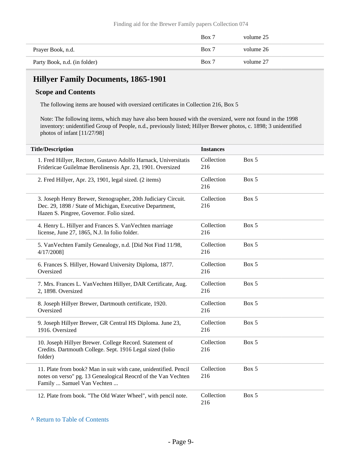|                              | Box 7 | volume 25 |
|------------------------------|-------|-----------|
| Prayer Book, n.d.            | Box 7 | volume 26 |
| Party Book, n.d. (in folder) | Box 7 | volume 27 |

## <span id="page-8-0"></span>**Hillyer Family Documents, 1865-1901**

#### **Scope and Contents**

The following items are housed with oversized certificates in Collection 216, Box 5

Note: The following items, which may have also been housed with the oversized, were not found in the 1998 inventory: unidentified Group of People, n.d., previously listed; Hillyer Brewer photos, c. 1898; 3 unidentified photos of infant [11/27/98]

| <b>Title/Description</b>                                                                                                                                              | <b>Instances</b>  |       |
|-----------------------------------------------------------------------------------------------------------------------------------------------------------------------|-------------------|-------|
| 1. Fred Hillyer, Rectore, Gustavo Adolfo Harnack, Universitatis<br>Fridericae Guilelmae Berolinensis Apr. 23, 1901. Oversized                                         | Collection<br>216 | Box 5 |
| 2. Fred Hillyer, Apr. 23, 1901, legal sized. (2 items)                                                                                                                | Collection<br>216 | Box 5 |
| 3. Joseph Henry Brewer, Stenographer, 20th Judiciary Circuit.<br>Dec. 29, 1898 / State of Michigan, Executive Department,<br>Hazen S. Pingree, Governor. Folio sized. | Collection<br>216 | Box 5 |
| 4. Henry L. Hillyer and Frances S. Van Vechten marriage<br>license, June 27, 1865, N.J. In folio folder.                                                              | Collection<br>216 | Box 5 |
| 5. Van Vechten Family Genealogy, n.d. [Did Not Find 11/98,<br>4/17/2008]                                                                                              | Collection<br>216 | Box 5 |
| 6. Frances S. Hillyer, Howard University Diploma, 1877.<br>Oversized                                                                                                  | Collection<br>216 | Box 5 |
| 7. Mrs. Frances L. VanVechten Hillyer, DAR Certificate, Aug.<br>2, 1898. Oversized                                                                                    | Collection<br>216 | Box 5 |
| 8. Joseph Hillyer Brewer, Dartmouth certificate, 1920.<br>Oversized                                                                                                   | Collection<br>216 | Box 5 |
| 9. Joseph Hillyer Brewer, GR Central HS Diploma. June 23,<br>1916. Oversized                                                                                          | Collection<br>216 | Box 5 |
| 10. Joseph Hillyer Brewer. College Record. Statement of<br>Credits. Dartmouth College. Sept. 1916 Legal sized (folio<br>folder)                                       | Collection<br>216 | Box 5 |
| 11. Plate from book? Man in suit with cane, unidentified. Pencil<br>notes on verso" pg. 13 Genealogical Reocrd of the Van Vechten<br>Family  Samuel Van Vechten       | Collection<br>216 | Box 5 |
| 12. Plate from book. "The Old Water Wheel", with pencil note.                                                                                                         | Collection<br>216 | Box 5 |

#### **^** [Return to Table of Contents](#page-1-0)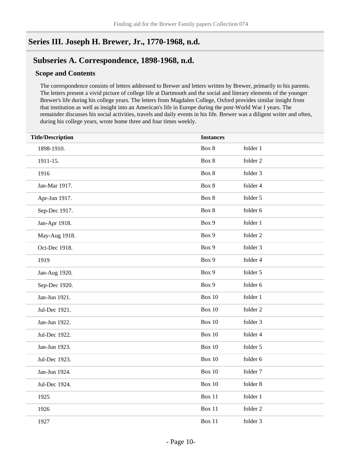## <span id="page-9-0"></span>**Series III. Joseph H. Brewer, Jr., 1770-1968, n.d.**

## <span id="page-9-1"></span>**Subseries A. Correspondence, 1898-1968, n.d.**

#### **Scope and Contents**

The correspondence consists of letters addressed to Brewer and letters written by Brewer, primarily to his parents. The letters present a vivid picture of college life at Dartmouth and the social and literary elements of the younger Brewer's life during his college years. The letters from Magdalen College, Oxford provides similar insight from that institution as well as insight into an American's life in Europe during the post-World War I years. The remainder discusses his social activities, travels and daily events in his life. Brewer was a diligent writer and often, during his college years, wrote home three and four times weekly.

| <b>Title/Description</b><br><b>Instances</b> |               |          |
|----------------------------------------------|---------------|----------|
| 1898-1910.                                   | Box 8         | folder 1 |
| 1911-15.                                     | Box 8         | folder 2 |
| 1916                                         | Box 8         | folder 3 |
| Jan-Mar 1917.                                | Box 8         | folder 4 |
| Apr-Jun 1917.                                | Box 8         | folder 5 |
| Sep-Dec 1917.                                | Box 8         | folder 6 |
| Jan-Apr 1918.                                | Box 9         | folder 1 |
| May-Aug 1918.                                | Box 9         | folder 2 |
| Oct-Dec 1918.                                | Box 9         | folder 3 |
| 1919                                         | Box 9         | folder 4 |
| Jan-Aug 1920.                                | Box 9         | folder 5 |
| Sep-Dec 1920.                                | Box 9         | folder 6 |
| Jan-Jun 1921.                                | <b>Box 10</b> | folder 1 |
| Jul-Dec 1921.                                | <b>Box 10</b> | folder 2 |
| Jan-Jun 1922.                                | <b>Box 10</b> | folder 3 |
| Jul-Dec 1922.                                | <b>Box 10</b> | folder 4 |
| Jan-Jun 1923.                                | <b>Box 10</b> | folder 5 |
| Jul-Dec 1923.                                | <b>Box 10</b> | folder 6 |
| Jan-Jun 1924.                                | <b>Box 10</b> | folder 7 |
| Jul-Dec 1924.                                | <b>Box 10</b> | folder 8 |
| 1925                                         | <b>Box 11</b> | folder 1 |
| 1926                                         | <b>Box 11</b> | folder 2 |
| 1927                                         | <b>Box 11</b> | folder 3 |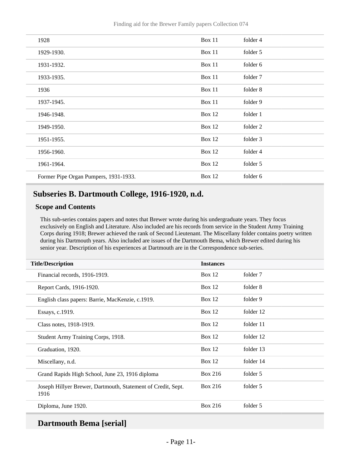Finding aid for the Brewer Family papers Collection 074

| 1928                                  | Box 11        | folder 4 |
|---------------------------------------|---------------|----------|
| 1929-1930.                            | Box 11        | folder 5 |
| 1931-1932.                            | Box 11        | folder 6 |
| 1933-1935.                            | Box 11        | folder 7 |
| 1936                                  | Box 11        | folder 8 |
| 1937-1945.                            | Box 11        | folder 9 |
| 1946-1948.                            | <b>Box 12</b> | folder 1 |
| 1949-1950.                            | <b>Box 12</b> | folder 2 |
| 1951-1955.                            | <b>Box 12</b> | folder 3 |
| 1956-1960.                            | <b>Box 12</b> | folder 4 |
| 1961-1964.                            | <b>Box 12</b> | folder 5 |
| Former Pipe Organ Pumpers, 1931-1933. | <b>Box 12</b> | folder 6 |

## <span id="page-10-0"></span>**Subseries B. Dartmouth College, 1916-1920, n.d.**

#### **Scope and Contents**

This sub-series contains papers and notes that Brewer wrote during his undergraduate years. They focus exclusively on English and Literature. Also included are his records from service in the Student Army Training Corps during 1918; Brewer achieved the rank of Second Lieutenant. The Miscellany folder contains poetry written during his Dartmouth years. Also included are issues of the Dartmouth Bema, which Brewer edited during his senior year. Description of his experiences at Dartmouth are in the Correspondence sub-series.

| <b>Title/Description</b>                                             | <b>Instances</b> |           |
|----------------------------------------------------------------------|------------------|-----------|
| Financial records, 1916-1919.                                        | Box $12$         | folder 7  |
| Report Cards, 1916-1920.                                             | Box $12$         | folder 8  |
| English class papers: Barrie, MacKenzie, c.1919.                     | Box $12$         | folder 9  |
| Essays, c.1919.                                                      | Box $12$         | folder 12 |
| Class notes, 1918-1919.                                              | Box $12$         | folder 11 |
| Student Army Training Corps, 1918.                                   | Box $12$         | folder 12 |
| Graduation, 1920.                                                    | Box $12$         | folder 13 |
| Miscellany, n.d.                                                     | Box $12$         | folder 14 |
| Grand Rapids High School, June 23, 1916 diploma                      | Box 216          | folder 5  |
| Joseph Hillyer Brewer, Dartmouth, Statement of Credit, Sept.<br>1916 | Box 216          | folder 5  |
| Diploma, June 1920.                                                  | Box 216          | folder 5  |

## **Dartmouth Bema [serial]**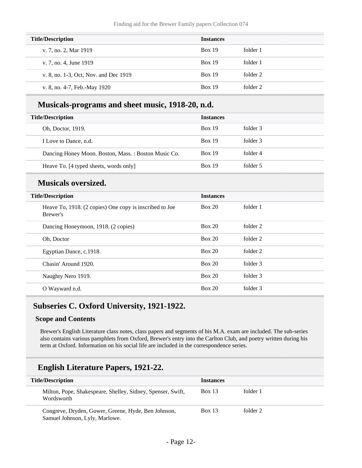| <b>Title/Description</b>              | <b>Instances</b> |          |
|---------------------------------------|------------------|----------|
| v. 7, no. 2, Mar 1919                 | <b>Box 19</b>    | folder 1 |
| v. 7, no. 4, June 1919                | <b>Box 19</b>    | folder 1 |
| v. 8, no. 1-3, Oct, Nov. and Dec 1919 | <b>Box 19</b>    | folder 2 |
| v. 8, no. 4-7, Feb.-May 1920          | <b>Box 19</b>    | folder 2 |

### **Musicals-programs and sheet music, 1918-20, n.d.**

| <b>Title/Description</b> |                                                     | <b>Instances</b> |          |
|--------------------------|-----------------------------------------------------|------------------|----------|
|                          | Oh, Doctor, 1919.                                   | <b>Box 19</b>    | folder 3 |
|                          | I Love to Dance, n.d.                               | <b>Box 19</b>    | folder 3 |
|                          | Dancing Honey Moon. Boston, Mass.: Boston Music Co. | <b>Box 19</b>    | folder 4 |
|                          | Heave To. [4 typed sheets, words only]              | <b>Box 19</b>    | folder 5 |

## **Musicals oversized.**

| <b>Title/Description</b>                                            | <b>Instances</b> |          |  |
|---------------------------------------------------------------------|------------------|----------|--|
| Heave To, 1918. (2 copies) One copy is inscribed to Joe<br>Brewer's | Box 20           | folder 1 |  |
| Dancing Honeymoon, 1918. (2 copies)                                 | Box 20           | folder 2 |  |
| Oh, Doctor                                                          | Box 20           | folder 2 |  |
| Egyptian Dance, c.1918.                                             | Box 20           | folder 2 |  |
| Chasin' Around 1920.                                                | Box 20           | folder 3 |  |
| Naughty Nero 1919.                                                  | Box 20           | folder 3 |  |
| O Wayward n.d.                                                      | Box 20           | folder 3 |  |

### <span id="page-11-0"></span>**Subseries C. Oxford University, 1921-1922.**

#### **Scope and Contents**

Brewer's English Literature class notes, class papers and segments of his M.A. exam are included. The sub-series also contains various pamphlets from Oxford, Brewer's entry into the Carlton Club, and poetry written during his term at Oxford. Information on his social life are included in the correspondence series.

## **English Literature Papers, 1921-22.**

| <b>Title/Description</b>                                                              | <b>Instances</b> |          |
|---------------------------------------------------------------------------------------|------------------|----------|
| Milton, Pope, Shakespeare, Shelley, Sidney, Spenser, Swift,<br>Wordsworth             | <b>Box 13</b>    | folder 1 |
| Congreve, Dryden, Gower, Greene, Hyde, Ben Johnson,<br>Samuel Johnson, Lyly, Marlowe. | Box 13           | folder 2 |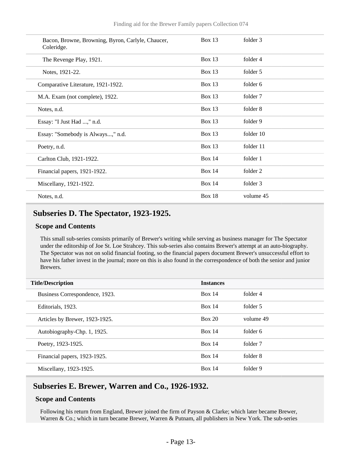| Bacon, Browne, Browning, Byron, Carlyle, Chaucer,<br>Coleridge. | Box $13$      | folder 3  |
|-----------------------------------------------------------------|---------------|-----------|
| The Revenge Play, 1921.                                         | <b>Box 13</b> | folder 4  |
| Notes, 1921-22.                                                 | <b>Box 13</b> | folder 5  |
| Comparative Literature, 1921-1922.                              | Box $13$      | folder 6  |
| M.A. Exam (not complete), 1922.                                 | Box $13$      | folder 7  |
| Notes, n.d.                                                     | <b>Box 13</b> | folder 8  |
| Essay: "I Just Had ," n.d.                                      | <b>Box 13</b> | folder 9  |
| Essay: "Somebody is Always," n.d.                               | <b>Box 13</b> | folder 10 |
| Poetry, n.d.                                                    | <b>Box 13</b> | folder 11 |
| Carlton Club, 1921-1922.                                        | <b>Box 14</b> | folder 1  |
| Financial papers, 1921-1922.                                    | <b>Box 14</b> | folder 2  |
| Miscellany, 1921-1922.                                          | <b>Box 14</b> | folder 3  |
| Notes, n.d.                                                     | <b>Box 18</b> | volume 45 |

## <span id="page-12-0"></span>**Subseries D. The Spectator, 1923-1925.**

#### **Scope and Contents**

This small sub-series consists primarily of Brewer's writing while serving as business manager for The Spectator under the editorship of Joe St. Loe Strahcey. This sub-series also contains Brewer's attempt at an auto-biography. The Spectator was not on solid financial footing, so the financial papers document Brewer's unsuccessful effort to have his father invest in the journal; more on this is also found in the correspondence of both the senior and junior Brewers.

| <b>Title/Description</b><br><b>Instances</b> |               |           |
|----------------------------------------------|---------------|-----------|
| Business Correspondence, 1923.               | Box 14        | folder 4  |
| Editorials, 1923.                            | Box 14        | folder 5  |
| Articles by Brewer, 1923-1925.               | Box 20        | volume 49 |
| Autobiography-Chp. 1, 1925.                  | Box 14        | folder 6  |
| Poetry, 1923-1925.                           | <b>Box 14</b> | folder 7  |
| Financial papers, 1923-1925.                 | Box 14        | folder 8  |
| Miscellany, 1923-1925.                       | Box 14        | folder 9  |

### <span id="page-12-1"></span>**Subseries E. Brewer, Warren and Co., 1926-1932.**

#### **Scope and Contents**

Following his return from England, Brewer joined the firm of Payson & Clarke; which later became Brewer, Warren & Co.; which in turn became Brewer, Warren & Putnam, all publishers in New York. The sub-series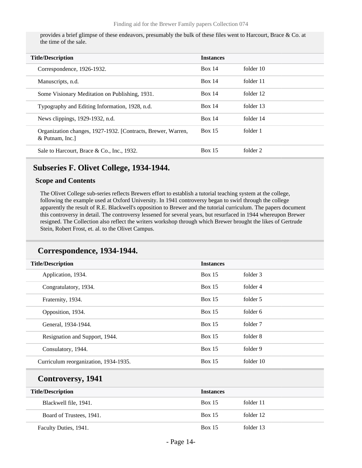provides a brief glimpse of these endeavors, presumably the bulk of these files went to Harcourt, Brace & Co. at the time of the sale.

| <b>Title/Description</b>                                                       | <b>Instances</b> |           |
|--------------------------------------------------------------------------------|------------------|-----------|
| Correspondence, 1926-1932.                                                     | <b>Box 14</b>    | folder 10 |
| Manuscripts, n.d.                                                              | Box 14           | folder 11 |
| Some Visionary Meditation on Publishing, 1931.                                 | <b>Box 14</b>    | folder 12 |
| Typography and Editing Information, 1928, n.d.                                 | Box 14           | folder 13 |
| News clippings, 1929-1932, n.d.                                                | Box 14           | folder 14 |
| Organization changes, 1927-1932. [Contracts, Brewer, Warren,<br>& Putnam, Inc. | <b>Box 15</b>    | folder 1  |
| Sale to Harcourt, Brace & Co., Inc., 1932.                                     | <b>Box 15</b>    | folder 2  |

#### <span id="page-13-0"></span>**Subseries F. Olivet College, 1934-1944.**

#### **Scope and Contents**

The Olivet College sub-series reflects Brewers effort to establish a tutorial teaching system at the college, following the example used at Oxford University. In 1941 controversy began to swirl through the college apparently the result of R.E. Blackwell's opposition to Brewer and the tutorial curriculum. The papers document this controversy in detail. The controversy lessened for several years, but resurfaced in 1944 whereupon Brewer resigned. The Collection also reflect the writers workshop through which Brewer brought the likes of Gertrude Stein, Robert Frost, et. al. to the Olivet Campus.

### **Correspondence, 1934-1944.**

| <b>Title/Description</b>              | <b>Instances</b> |           |
|---------------------------------------|------------------|-----------|
| Application, 1934.                    | Box $15$         | folder 3  |
| Congratulatory, 1934.                 | Box $15$         | folder 4  |
| Fraternity, 1934.                     | Box $15$         | folder 5  |
| Opposition, 1934.                     | Box $15$         | folder 6  |
| General, 1934-1944.                   | Box 15           | folder 7  |
| Resignation and Support, 1944.        | Box $15$         | folder 8  |
| Consulatory, 1944.                    | Box $15$         | folder 9  |
| Curriculum reorganization, 1934-1935. | Box 15           | folder 10 |

## **Controversy, 1941**

| <b>Title/Description</b> | <b>Instances</b> |           |
|--------------------------|------------------|-----------|
| Blackwell file, 1941.    | <b>Box 15</b>    | folder 11 |
| Board of Trustees, 1941. | <b>Box 15</b>    | folder 12 |
| Faculty Duties, 1941.    | <b>Box 15</b>    | folder 13 |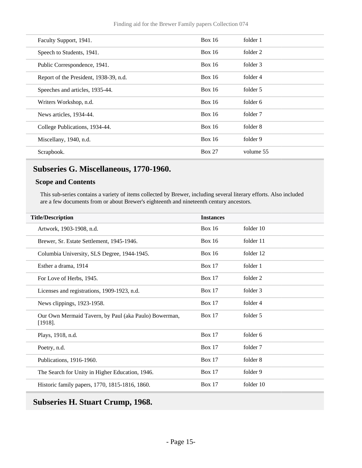| Faculty Support, 1941.                 | Box $16$      | folder 1  |
|----------------------------------------|---------------|-----------|
| Speech to Students, 1941.              | <b>Box 16</b> | folder 2  |
| Public Correspondence, 1941.           | Box 16        | folder 3  |
| Report of the President, 1938-39, n.d. | <b>Box 16</b> | folder 4  |
| Speeches and articles, 1935-44.        | <b>Box 16</b> | folder 5  |
| Writers Workshop, n.d.                 | Box 16        | folder 6  |
| News articles, 1934-44.                | <b>Box 16</b> | folder 7  |
| College Publications, 1934-44.         | <b>Box 16</b> | folder 8  |
| Miscellany, 1940, n.d.                 | Box $16$      | folder 9  |
| Scrapbook.                             | <b>Box 27</b> | volume 55 |
|                                        |               |           |

## <span id="page-14-0"></span>**Subseries G. Miscellaneous, 1770-1960.**

#### **Scope and Contents**

This sub-series contains a variety of items collected by Brewer, including several literary efforts. Also included are a few documents from or about Brewer's eighteenth and nineteenth century ancestors.

| <b>Title/Description</b>                                            | <b>Instances</b> |           |
|---------------------------------------------------------------------|------------------|-----------|
| Artwork, 1903-1908, n.d.                                            | <b>Box 16</b>    | folder 10 |
| Brewer, Sr. Estate Settlement, 1945-1946.                           | <b>Box 16</b>    | folder 11 |
| Columbia University, SLS Degree, 1944-1945.                         | <b>Box 16</b>    | folder 12 |
| Esther a drama, 1914                                                | <b>Box 17</b>    | folder 1  |
| For Love of Herbs, 1945.                                            | Box $17$         | folder 2  |
| Licenses and registrations, 1909-1923, n.d.                         | <b>Box 17</b>    | folder 3  |
| News clippings, 1923-1958.                                          | <b>Box 17</b>    | folder 4  |
| Our Own Mermaid Tavern, by Paul (aka Paulo) Bowerman,<br>$[1918]$ . | <b>Box 17</b>    | folder 5  |
| Plays, 1918, n.d.                                                   | <b>Box 17</b>    | folder 6  |
| Poetry, n.d.                                                        | <b>Box 17</b>    | folder 7  |
| Publications, 1916-1960.                                            | <b>Box 17</b>    | folder 8  |
| The Search for Unity in Higher Education, 1946.                     | <b>Box 17</b>    | folder 9  |
| Historic family papers, 1770, 1815-1816, 1860.                      | <b>Box 17</b>    | folder 10 |

## <span id="page-14-1"></span>**Subseries H. Stuart Crump, 1968.**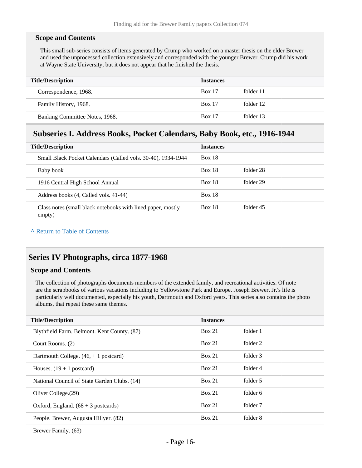#### **Scope and Contents**

This small sub-series consists of items generated by Crump who worked on a master thesis on the elder Brewer and used the unprocessed collection extensively and corresponded with the younger Brewer. Crump did his work at Wayne State University, but it does not appear that he finished the thesis.

| <b>Title/Description</b>       | <b>Instances</b> |           |
|--------------------------------|------------------|-----------|
| Correspondence, 1968.          | <b>Box 17</b>    | folder 11 |
| Family History, 1968.          | <b>Box 17</b>    | folder 12 |
| Banking Committee Notes, 1968. | <b>Box 17</b>    | folder 13 |

### <span id="page-15-0"></span>**Subseries I. Address Books, Pocket Calendars, Baby Book, etc., 1916-1944**

| <b>Title/Description</b>                                              | <b>Instances</b> |           |
|-----------------------------------------------------------------------|------------------|-----------|
| Small Black Pocket Calendars (Called vols. 30-40), 1934-1944          | <b>Box 18</b>    |           |
| Baby book                                                             | <b>Box 18</b>    | folder 28 |
| 1916 Central High School Annual                                       | <b>Box 18</b>    | folder 29 |
| Address books (4, Called vols. 41-44)                                 | <b>Box 18</b>    |           |
| Class notes (small black notebooks with lined paper, mostly<br>empty) | <b>Box 18</b>    | folder 45 |

#### **^** [Return to Table of Contents](#page-1-0)

### <span id="page-15-1"></span>**Series IV Photographs, circa 1877-1968**

#### **Scope and Contents**

The collection of photographs documents members of the extended family, and recreational activities. Of note are the scrapbooks of various vacations including to Yellowstone Park and Europe. Joseph Brewer, Jr.'s life is particularly well documented, especially his youth, Dartmouth and Oxford years. This series also contains the photo albums, that repeat these same themes.

| <b>Title/Description</b>                      | <b>Instances</b> |          |
|-----------------------------------------------|------------------|----------|
| Blythfield Farm. Belmont. Kent County. (87)   | Box 21           | folder 1 |
| Court Rooms. (2)                              | Box 21           | folder 2 |
| Dartmouth College. $(46, +1)$ postcard)       | Box 21           | folder 3 |
| Houses. $(19 + 1$ postcard)                   | Box 21           | folder 4 |
| National Council of State Garden Clubs. (14)  | Box 21           | folder 5 |
| Olivet College. (29)                          | Box 21           | folder 6 |
| Oxford, England. $(68 + 3 \text{ postcards})$ | Box 21           | folder 7 |
| People. Brewer, Augusta Hillyer. (82)         | Box 21           | folder 8 |
|                                               |                  |          |

Brewer Family. (63)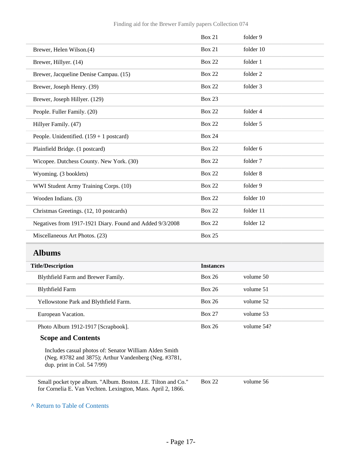|                                                          | <b>Box 21</b> | folder 9  |
|----------------------------------------------------------|---------------|-----------|
| Brewer, Helen Wilson.(4)                                 | <b>Box 21</b> | folder 10 |
| Brewer, Hillyer. (14)                                    | <b>Box 22</b> | folder 1  |
| Brewer, Jacqueline Denise Campau. (15)                   | <b>Box 22</b> | folder 2  |
| Brewer, Joseph Henry. (39)                               | <b>Box 22</b> | folder 3  |
| Brewer, Joseph Hillyer. (129)                            | <b>Box 23</b> |           |
| People. Fuller Family. (20)                              | <b>Box 22</b> | folder 4  |
| Hillyer Family. (47)                                     | <b>Box 22</b> | folder 5  |
| People. Unidentified. $(159 + 1$ postcard)               | <b>Box 24</b> |           |
| Plainfield Bridge. (1 postcard)                          | <b>Box 22</b> | folder 6  |
| Wicopee. Dutchess County. New York. (30)                 | <b>Box 22</b> | folder 7  |
| Wyoming. (3 booklets)                                    | <b>Box 22</b> | folder 8  |
| WWI Student Army Training Corps. (10)                    | <b>Box 22</b> | folder 9  |
| Wooden Indians. (3)                                      | <b>Box 22</b> | folder 10 |
| Christmas Greetings. (12, 10 postcards)                  | <b>Box 22</b> | folder 11 |
| Negatives from 1917-1921 Diary. Found and Added 9/3/2008 | <b>Box 22</b> | folder 12 |
| Miscellaneous Art Photos. (23)                           | <b>Box 25</b> |           |
| <b>Albums</b>                                            |               |           |
|                                                          |               |           |

<span id="page-16-0"></span>

| <b>Title/Description</b>              | <b>Instances</b> |            |
|---------------------------------------|------------------|------------|
| Blythfield Farm and Brewer Family.    | <b>Box 26</b>    | volume 50  |
| <b>Blythfield Farm</b>                | <b>Box 26</b>    | volume 51  |
| Yellowstone Park and Blythfield Farm. | <b>Box 26</b>    | volume 52  |
| European Vacation.                    | <b>Box 27</b>    | volume 53  |
| Photo Album 1912-1917 [Scrapbook].    | <b>Box 26</b>    | volume 54? |

#### **Scope and Contents**

Includes casual photos of: Senator William Alden Smith (Neg. #3782 and 3875); Arthur Vandenberg (Neg. #3781, dup. print in Col. 54 7/99)

Small pocket type album. "Album. Boston. J.E. Tilton and Co." for Cornelia E. Van Vechten. Lexington, Mass. April 2, 1866.

Box 22 volume 56

**^** [Return to Table of Contents](#page-1-0)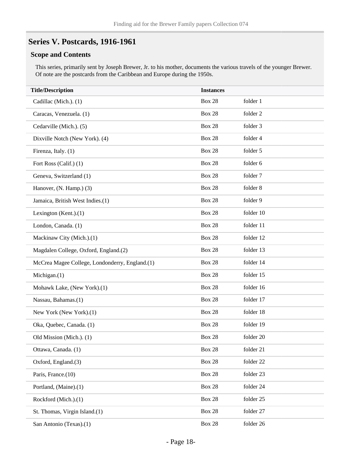## <span id="page-17-0"></span>**Series V. Postcards, 1916-1961**

#### **Scope and Contents**

This series, primarily sent by Joseph Brewer, Jr. to his mother, documents the various travels of the younger Brewer. Of note are the postcards from the Caribbean and Europe during the 1950s.

| <b>Title/Description</b>                       | <b>Instances</b> |           |
|------------------------------------------------|------------------|-----------|
| Cadillac (Mich.). (1)                          | <b>Box 28</b>    | folder 1  |
| Caracas, Venezuela. (1)                        | <b>Box 28</b>    | folder 2  |
| Cedarville (Mich.). (5)                        | <b>Box 28</b>    | folder 3  |
| Dixville Notch (New York). (4)                 | <b>Box 28</b>    | folder 4  |
| Firenza, Italy. (1)                            | <b>Box 28</b>    | folder 5  |
| Fort Ross (Calif.) (1)                         | <b>Box 28</b>    | folder 6  |
| Geneva, Switzerland (1)                        | <b>Box 28</b>    | folder 7  |
| Hanover, (N. Hamp.) (3)                        | <b>Box 28</b>    | folder 8  |
| Jamaica, British West Indies.(1)               | <b>Box 28</b>    | folder 9  |
| Lexington $(Kent.)(1)$                         | <b>Box 28</b>    | folder 10 |
| London, Canada. (1)                            | <b>Box 28</b>    | folder 11 |
| Mackinaw City (Mich.).(1)                      | <b>Box 28</b>    | folder 12 |
| Magdalen College, Oxford, England.(2)          | <b>Box 28</b>    | folder 13 |
| McCrea Magee College, Londonderry, England.(1) | <b>Box 28</b>    | folder 14 |
| Michigan. $(1)$                                | <b>Box 28</b>    | folder 15 |
| Mohawk Lake, (New York).(1)                    | <b>Box 28</b>    | folder 16 |
| Nassau, Bahamas.(1)                            | <b>Box 28</b>    | folder 17 |
| New York (New York).(1)                        | <b>Box 28</b>    | folder 18 |
| Oka, Quebec, Canada. (1)                       | <b>Box 28</b>    | folder 19 |
| Old Mission (Mich.). (1)                       | <b>Box 28</b>    | folder 20 |
| Ottawa, Canada. (1)                            | <b>Box 28</b>    | folder 21 |
| Oxford, England.(3)                            | <b>Box 28</b>    | folder 22 |
| Paris, France.(10)                             | <b>Box 28</b>    | folder 23 |
| Portland, (Maine).(1)                          | <b>Box 28</b>    | folder 24 |
| Rockford (Mich.).(1)                           | <b>Box 28</b>    | folder 25 |
| St. Thomas, Virgin Island.(1)                  | <b>Box 28</b>    | folder 27 |
| San Antonio (Texas).(1)                        | <b>Box 28</b>    | folder 26 |